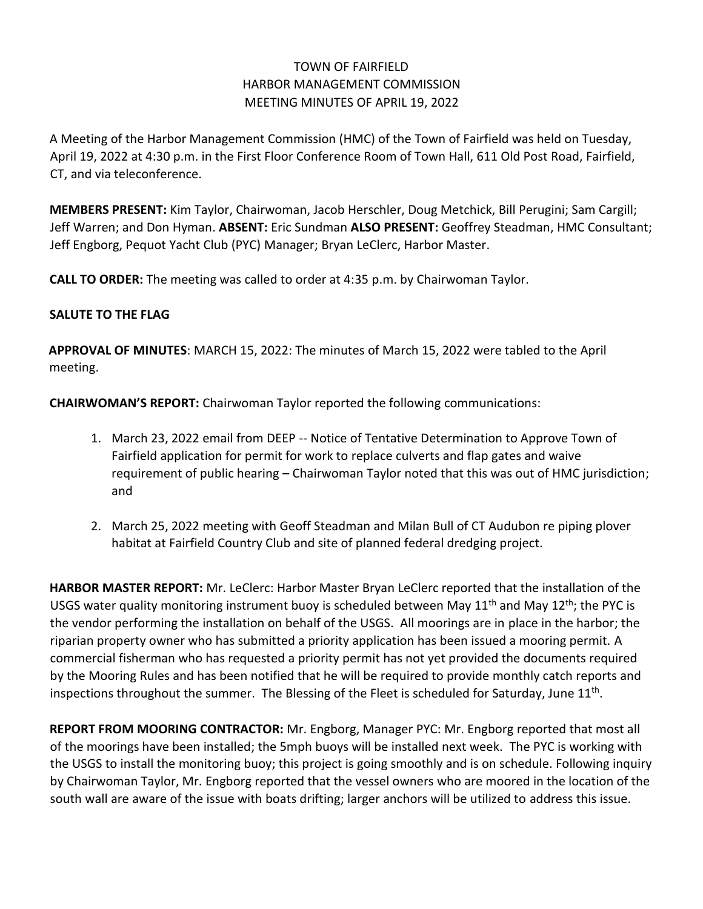# TOWN OF FAIRFIELD HARBOR MANAGEMENT COMMISSION MEETING MINUTES OF APRIL 19, 2022

A Meeting of the Harbor Management Commission (HMC) of the Town of Fairfield was held on Tuesday, April 19, 2022 at 4:30 p.m. in the First Floor Conference Room of Town Hall, 611 Old Post Road, Fairfield, CT, and via teleconference.

**MEMBERS PRESENT:** Kim Taylor, Chairwoman, Jacob Herschler, Doug Metchick, Bill Perugini; Sam Cargill; Jeff Warren; and Don Hyman. **ABSENT:** Eric Sundman **ALSO PRESENT:** Geoffrey Steadman, HMC Consultant; Jeff Engborg, Pequot Yacht Club (PYC) Manager; Bryan LeClerc, Harbor Master.

**CALL TO ORDER:** The meeting was called to order at 4:35 p.m. by Chairwoman Taylor.

## **SALUTE TO THE FLAG**

**APPROVAL OF MINUTES**: MARCH 15, 2022: The minutes of March 15, 2022 were tabled to the April meeting.

**CHAIRWOMAN'S REPORT:** Chairwoman Taylor reported the following communications:

- 1. March 23, 2022 email from DEEP -- Notice of Tentative Determination to Approve Town of Fairfield application for permit for work to replace culverts and flap gates and waive requirement of public hearing – Chairwoman Taylor noted that this was out of HMC jurisdiction; and
- 2. March 25, 2022 meeting with Geoff Steadman and Milan Bull of CT Audubon re piping plover habitat at Fairfield Country Club and site of planned federal dredging project.

**HARBOR MASTER REPORT:** Mr. LeClerc: Harbor Master Bryan LeClerc reported that the installation of the USGS water quality monitoring instrument buoy is scheduled between May  $11<sup>th</sup>$  and May  $12<sup>th</sup>$ ; the PYC is the vendor performing the installation on behalf of the USGS. All moorings are in place in the harbor; the riparian property owner who has submitted a priority application has been issued a mooring permit. A commercial fisherman who has requested a priority permit has not yet provided the documents required by the Mooring Rules and has been notified that he will be required to provide monthly catch reports and inspections throughout the summer. The Blessing of the Fleet is scheduled for Saturday, June  $11<sup>th</sup>$ .

**REPORT FROM MOORING CONTRACTOR:** Mr. Engborg, Manager PYC: Mr. Engborg reported that most all of the moorings have been installed; the 5mph buoys will be installed next week. The PYC is working with the USGS to install the monitoring buoy; this project is going smoothly and is on schedule. Following inquiry by Chairwoman Taylor, Mr. Engborg reported that the vessel owners who are moored in the location of the south wall are aware of the issue with boats drifting; larger anchors will be utilized to address this issue.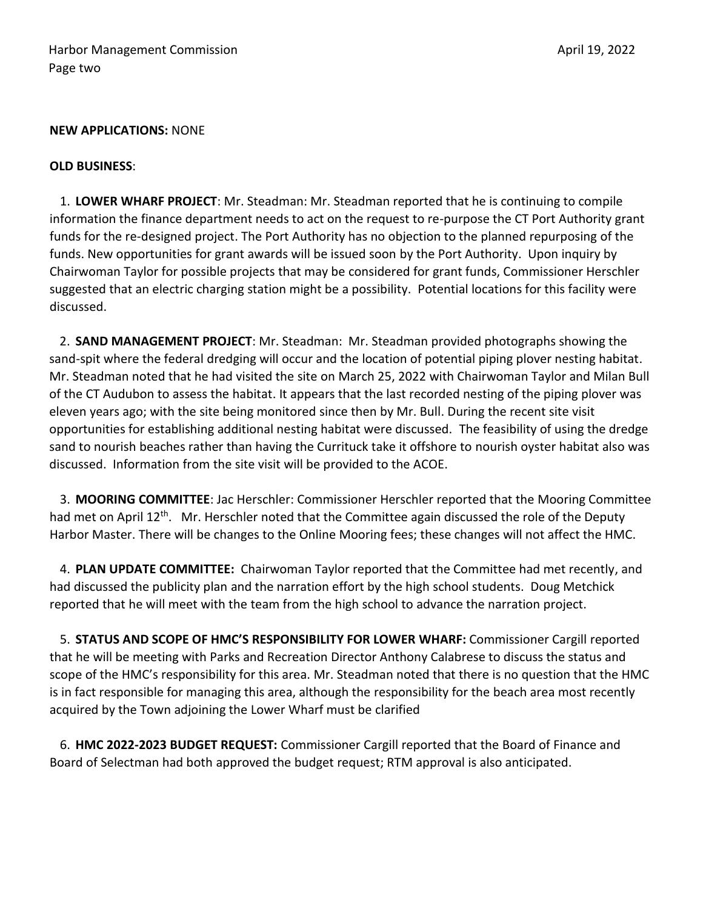#### **NEW APPLICATIONS:** NONE

#### **OLD BUSINESS**:

1. **LOWER WHARF PROJECT**: Mr. Steadman: Mr. Steadman reported that he is continuing to compile information the finance department needs to act on the request to re-purpose the CT Port Authority grant funds for the re-designed project. The Port Authority has no objection to the planned repurposing of the funds. New opportunities for grant awards will be issued soon by the Port Authority. Upon inquiry by Chairwoman Taylor for possible projects that may be considered for grant funds, Commissioner Herschler suggested that an electric charging station might be a possibility. Potential locations for this facility were discussed.

2. **SAND MANAGEMENT PROJECT**: Mr. Steadman: Mr. Steadman provided photographs showing the sand-spit where the federal dredging will occur and the location of potential piping plover nesting habitat. Mr. Steadman noted that he had visited the site on March 25, 2022 with Chairwoman Taylor and Milan Bull of the CT Audubon to assess the habitat. It appears that the last recorded nesting of the piping plover was eleven years ago; with the site being monitored since then by Mr. Bull. During the recent site visit opportunities for establishing additional nesting habitat were discussed. The feasibility of using the dredge sand to nourish beaches rather than having the Currituck take it offshore to nourish oyster habitat also was discussed. Information from the site visit will be provided to the ACOE.

3. **MOORING COMMITTEE**: Jac Herschler: Commissioner Herschler reported that the Mooring Committee had met on April 12<sup>th</sup>. Mr. Herschler noted that the Committee again discussed the role of the Deputy Harbor Master. There will be changes to the Online Mooring fees; these changes will not affect the HMC.

4. **PLAN UPDATE COMMITTEE:** Chairwoman Taylor reported that the Committee had met recently, and had discussed the publicity plan and the narration effort by the high school students. Doug Metchick reported that he will meet with the team from the high school to advance the narration project.

5. **STATUS AND SCOPE OF HMC'S RESPONSIBILITY FOR LOWER WHARF:** Commissioner Cargill reported that he will be meeting with Parks and Recreation Director Anthony Calabrese to discuss the status and scope of the HMC's responsibility for this area. Mr. Steadman noted that there is no question that the HMC is in fact responsible for managing this area, although the responsibility for the beach area most recently acquired by the Town adjoining the Lower Wharf must be clarified

6. **HMC 2022-2023 BUDGET REQUEST:** Commissioner Cargill reported that the Board of Finance and Board of Selectman had both approved the budget request; RTM approval is also anticipated.